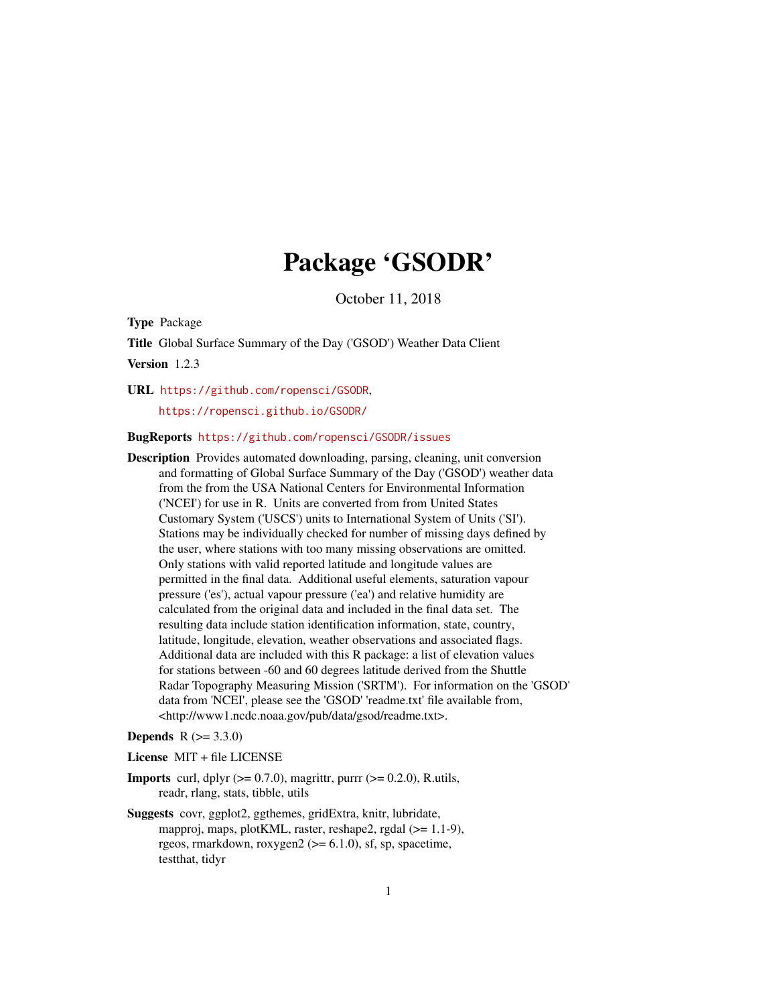# Package 'GSODR'

October 11, 2018

<span id="page-0-0"></span>Type Package

Title Global Surface Summary of the Day ('GSOD') Weather Data Client

Version 1.2.3

URL <https://github.com/ropensci/GSODR>,

<https://ropensci.github.io/GSODR/>

# BugReports <https://github.com/ropensci/GSODR/issues>

Description Provides automated downloading, parsing, cleaning, unit conversion and formatting of Global Surface Summary of the Day ('GSOD') weather data from the from the USA National Centers for Environmental Information ('NCEI') for use in R. Units are converted from from United States Customary System ('USCS') units to International System of Units ('SI'). Stations may be individually checked for number of missing days defined by the user, where stations with too many missing observations are omitted. Only stations with valid reported latitude and longitude values are permitted in the final data. Additional useful elements, saturation vapour pressure ('es'), actual vapour pressure ('ea') and relative humidity are calculated from the original data and included in the final data set. The resulting data include station identification information, state, country, latitude, longitude, elevation, weather observations and associated flags. Additional data are included with this R package: a list of elevation values for stations between -60 and 60 degrees latitude derived from the Shuttle Radar Topography Measuring Mission ('SRTM'). For information on the 'GSOD' data from 'NCEI', please see the 'GSOD' 'readme.txt' file available from, <http://www1.ncdc.noaa.gov/pub/data/gsod/readme.txt>.

# **Depends** R  $(>= 3.3.0)$

License MIT + file LICENSE

- **Imports** curl, dplyr  $(>= 0.7.0)$ , magrittr, purrr  $(>= 0.2.0)$ , R.utils, readr, rlang, stats, tibble, utils
- Suggests covr, ggplot2, ggthemes, gridExtra, knitr, lubridate, mapproj, maps, plotKML, raster, reshape2, rgdal (>= 1.1-9), rgeos, rmarkdown, roxygen $2 \left( \right) = 6.1.0$ ), sf, sp, spacetime, testthat, tidyr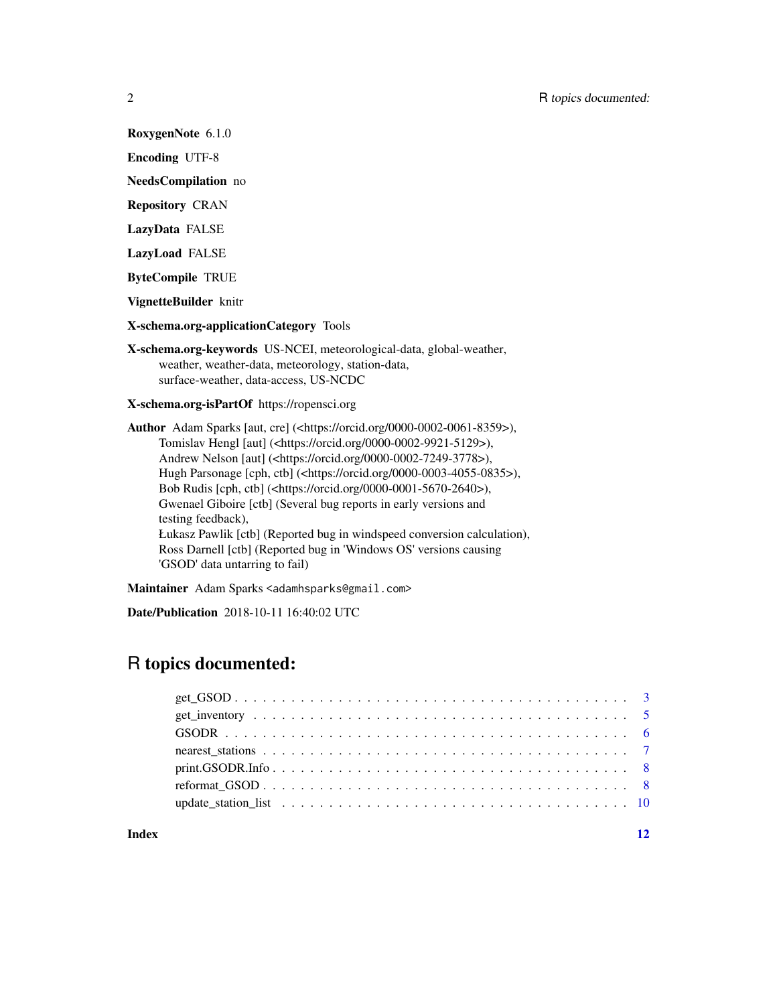RoxygenNote 6.1.0

Encoding UTF-8

NeedsCompilation no

Repository CRAN

LazyData FALSE

LazyLoad FALSE

ByteCompile TRUE

VignetteBuilder knitr

X-schema.org-applicationCategory Tools

X-schema.org-keywords US-NCEI, meteorological-data, global-weather, weather, weather-data, meteorology, station-data, surface-weather, data-access, US-NCDC

X-schema.org-isPartOf https://ropensci.org

Author Adam Sparks [aut, cre] (<https://orcid.org/0000-0002-0061-8359>), Tomislav Hengl [aut] (<https://orcid.org/0000-0002-9921-5129>), Andrew Nelson [aut] (<https://orcid.org/0000-0002-7249-3778>), Hugh Parsonage [cph, ctb] (<https://orcid.org/0000-0003-4055-0835>), Bob Rudis [cph, ctb] (<https://orcid.org/0000-0001-5670-2640>), Gwenael Giboire [ctb] (Several bug reports in early versions and testing feedback), Łukasz Pawlik [ctb] (Reported bug in windspeed conversion calculation), Ross Darnell [ctb] (Reported bug in 'Windows OS' versions causing 'GSOD' data untarring to fail)

Maintainer Adam Sparks <adamhsparks@gmail.com>

Date/Publication 2018-10-11 16:40:02 UTC

# R topics documented:

# **Index** [12](#page-11-0)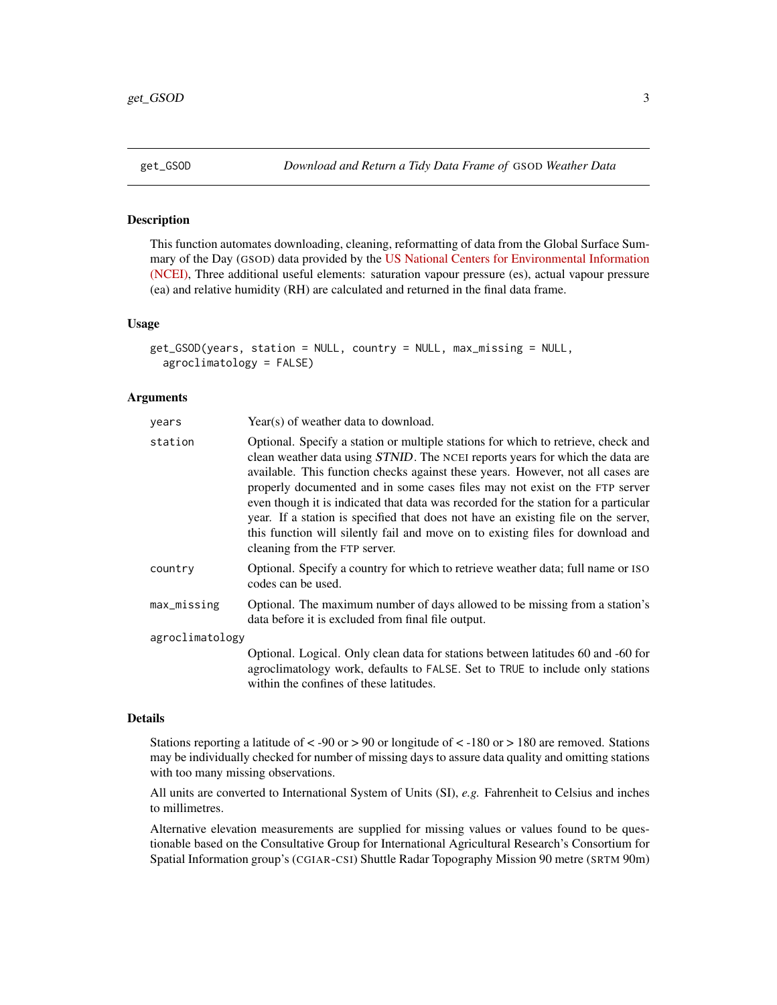<span id="page-2-1"></span><span id="page-2-0"></span>

### Description

This function automates downloading, cleaning, reformatting of data from the Global Surface Summary of the Day (GSOD) data provided by the [US National Centers for Environmental Information](https://data.noaa.gov/dataset/dataset/global-surface-summary-of-the-day-gsod/) [\(NCEI\),](https://data.noaa.gov/dataset/dataset/global-surface-summary-of-the-day-gsod/) Three additional useful elements: saturation vapour pressure (es), actual vapour pressure (ea) and relative humidity (RH) are calculated and returned in the final data frame.

# Usage

```
get_GSOD(years, station = NULL, country = NULL, max_missing = NULL,
  agroclimatology = FALSE)
```
# Arguments

| years           | Year(s) of weather data to download.                                                                                                                                                                                                                                                                                                                                                                                                                                                                                                                                                                                                          |
|-----------------|-----------------------------------------------------------------------------------------------------------------------------------------------------------------------------------------------------------------------------------------------------------------------------------------------------------------------------------------------------------------------------------------------------------------------------------------------------------------------------------------------------------------------------------------------------------------------------------------------------------------------------------------------|
| station         | Optional. Specify a station or multiple stations for which to retrieve, check and<br>clean weather data using <i>STNID</i> . The NCEI reports years for which the data are<br>available. This function checks against these years. However, not all cases are<br>properly documented and in some cases files may not exist on the FTP server<br>even though it is indicated that data was recorded for the station for a particular<br>year. If a station is specified that does not have an existing file on the server,<br>this function will silently fail and move on to existing files for download and<br>cleaning from the FTP server. |
| country         | Optional. Specify a country for which to retrieve weather data; full name or ISO<br>codes can be used.                                                                                                                                                                                                                                                                                                                                                                                                                                                                                                                                        |
| max_missing     | Optional. The maximum number of days allowed to be missing from a station's<br>data before it is excluded from final file output.                                                                                                                                                                                                                                                                                                                                                                                                                                                                                                             |
| agroclimatology |                                                                                                                                                                                                                                                                                                                                                                                                                                                                                                                                                                                                                                               |
|                 | Optional. Logical. Only clean data for stations between latitudes 60 and -60 for<br>agroclimatology work, defaults to FALSE. Set to TRUE to include only stations<br>within the confines of these latitudes.                                                                                                                                                                                                                                                                                                                                                                                                                                  |

#### Details

Stations reporting a latitude of  $\langle$  -90 or  $\rangle$  90 or longitude of  $\langle$  -180 or  $\rangle$  180 are removed. Stations may be individually checked for number of missing days to assure data quality and omitting stations with too many missing observations.

All units are converted to International System of Units (SI), *e.g.* Fahrenheit to Celsius and inches to millimetres.

Alternative elevation measurements are supplied for missing values or values found to be questionable based on the Consultative Group for International Agricultural Research's Consortium for Spatial Information group's (CGIAR-CSI) Shuttle Radar Topography Mission 90 metre (SRTM 90m)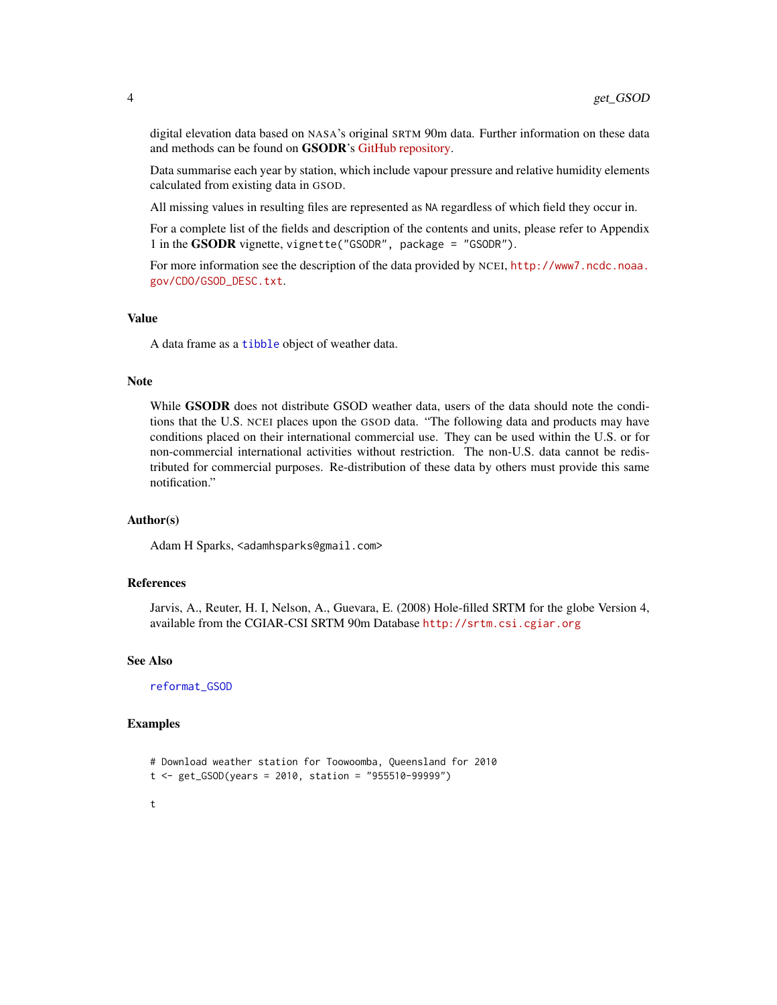digital elevation data based on NASA's original SRTM 90m data. Further information on these data and methods can be found on GSODR's [GitHub repository.](https://github.com/ropensci/GSODR/blob/master/data-raw/fetch_isd-history.md)

Data summarise each year by station, which include vapour pressure and relative humidity elements calculated from existing data in GSOD.

All missing values in resulting files are represented as NA regardless of which field they occur in.

For a complete list of the fields and description of the contents and units, please refer to Appendix 1 in the GSODR vignette, vignette("GSODR", package = "GSODR").

For more information see the description of the data provided by NCEI, [http://www7.ncdc.noaa.](http://www7.ncdc.noaa.gov/CDO/GSOD_DESC.txt) [gov/CDO/GSOD\\_DESC.txt](http://www7.ncdc.noaa.gov/CDO/GSOD_DESC.txt).

#### Value

A data frame as a [tibble](#page-0-0) object of weather data.

#### Note

While **GSODR** does not distribute GSOD weather data, users of the data should note the conditions that the U.S. NCEI places upon the GSOD data. "The following data and products may have conditions placed on their international commercial use. They can be used within the U.S. or for non-commercial international activities without restriction. The non-U.S. data cannot be redistributed for commercial purposes. Re-distribution of these data by others must provide this same notification."

#### Author(s)

Adam H Sparks, <adamhsparks@gmail.com>

# References

Jarvis, A., Reuter, H. I, Nelson, A., Guevara, E. (2008) Hole-filled SRTM for the globe Version 4, available from the CGIAR-CSI SRTM 90m Database <http://srtm.csi.cgiar.org>

#### See Also

[reformat\\_GSOD](#page-7-1)

#### Examples

```
# Download weather station for Toowoomba, Queensland for 2010
t <- get_GSOD(years = 2010, station = "955510-99999")
t
```
<span id="page-3-0"></span>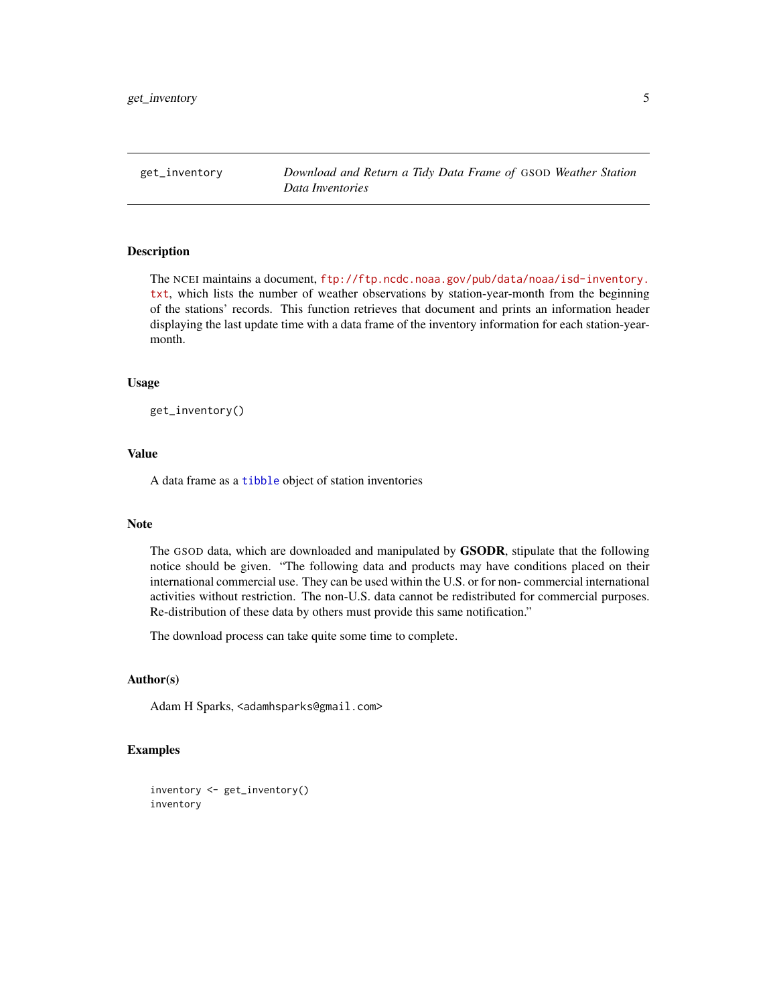<span id="page-4-1"></span><span id="page-4-0"></span>get\_inventory *Download and Return a Tidy Data Frame of* GSOD *Weather Station Data Inventories*

# Description

The NCEI maintains a document, [ftp://ftp.ncdc.noaa.gov/pub/data/noaa/isd-inventory.](ftp://ftp.ncdc.noaa.gov/pub/data/noaa/isd-inventory.txt) [txt](ftp://ftp.ncdc.noaa.gov/pub/data/noaa/isd-inventory.txt), which lists the number of weather observations by station-year-month from the beginning of the stations' records. This function retrieves that document and prints an information header displaying the last update time with a data frame of the inventory information for each station-yearmonth.

# Usage

get\_inventory()

# Value

A data frame as a [tibble](#page-0-0) object of station inventories

# Note

The GSOD data, which are downloaded and manipulated by GSODR, stipulate that the following notice should be given. "The following data and products may have conditions placed on their international commercial use. They can be used within the U.S. or for non- commercial international activities without restriction. The non-U.S. data cannot be redistributed for commercial purposes. Re-distribution of these data by others must provide this same notification."

The download process can take quite some time to complete.

#### Author(s)

Adam H Sparks, <adamhsparks@gmail.com>

# Examples

```
inventory <- get_inventory()
inventory
```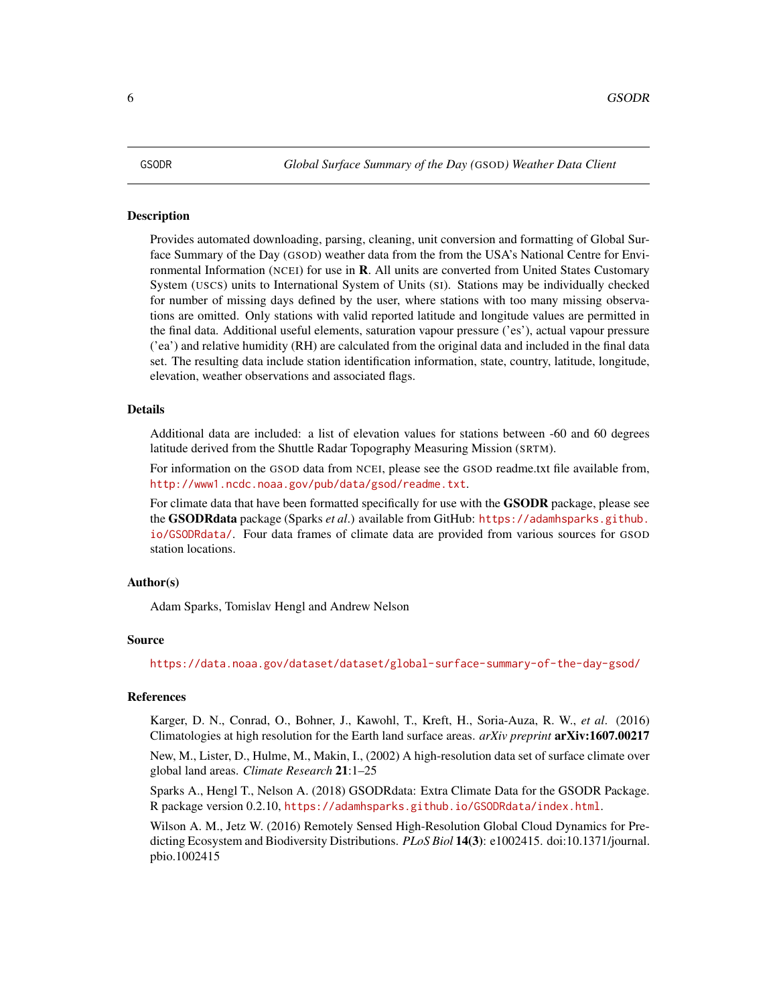#### <span id="page-5-0"></span>Description

Provides automated downloading, parsing, cleaning, unit conversion and formatting of Global Surface Summary of the Day (GSOD) weather data from the from the USA's National Centre for Environmental Information (NCEI) for use in **. All units are converted from United States Customary** System (USCS) units to International System of Units (SI). Stations may be individually checked for number of missing days defined by the user, where stations with too many missing observations are omitted. Only stations with valid reported latitude and longitude values are permitted in the final data. Additional useful elements, saturation vapour pressure ('es'), actual vapour pressure ('ea') and relative humidity (RH) are calculated from the original data and included in the final data set. The resulting data include station identification information, state, country, latitude, longitude, elevation, weather observations and associated flags.

#### Details

Additional data are included: a list of elevation values for stations between -60 and 60 degrees latitude derived from the Shuttle Radar Topography Measuring Mission (SRTM).

For information on the GSOD data from NCEI, please see the GSOD readme.txt file available from, <http://www1.ncdc.noaa.gov/pub/data/gsod/readme.txt>.

For climate data that have been formatted specifically for use with the **GSODR** package, please see the GSODRdata package (Sparks *et al*.) available from GitHub: [https://adamhsparks.github.](https://adamhsparks.github.io/GSODRdata/) [io/GSODRdata/](https://adamhsparks.github.io/GSODRdata/). Four data frames of climate data are provided from various sources for GSOD station locations.

#### Author(s)

Adam Sparks, Tomislav Hengl and Andrew Nelson

#### Source

<https://data.noaa.gov/dataset/dataset/global-surface-summary-of-the-day-gsod/>

# References

Karger, D. N., Conrad, O., Bohner, J., Kawohl, T., Kreft, H., Soria-Auza, R. W., *et al*. (2016) Climatologies at high resolution for the Earth land surface areas. *arXiv preprint* arXiv:1607.00217

New, M., Lister, D., Hulme, M., Makin, I., (2002) A high-resolution data set of surface climate over global land areas. *Climate Research* 21:1–25

Sparks A., Hengl T., Nelson A. (2018) GSODRdata: Extra Climate Data for the GSODR Package. R package version 0.2.10, <https://adamhsparks.github.io/GSODRdata/index.html>.

Wilson A. M., Jetz W. (2016) Remotely Sensed High-Resolution Global Cloud Dynamics for Predicting Ecosystem and Biodiversity Distributions. *PLoS Biol* 14(3): e1002415. doi:10.1371/journal. pbio.1002415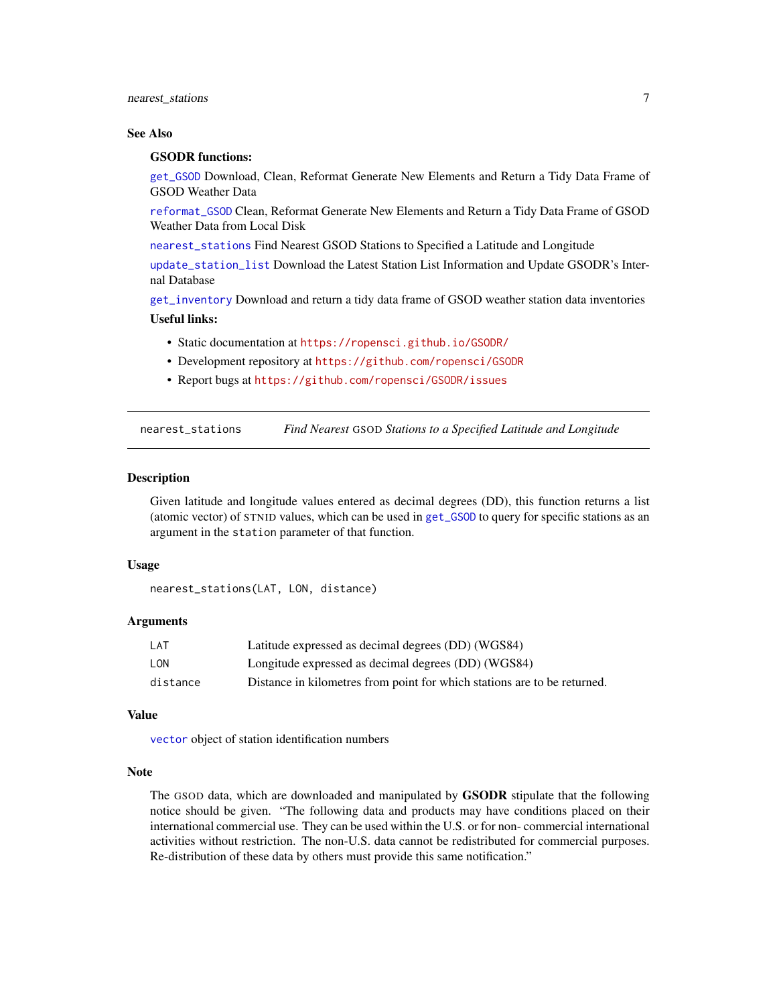# <span id="page-6-0"></span>nearest\_stations 7

#### See Also

#### GSODR functions:

[get\\_GSOD](#page-2-1) Download, Clean, Reformat Generate New Elements and Return a Tidy Data Frame of GSOD Weather Data

[reformat\\_GSOD](#page-7-1) Clean, Reformat Generate New Elements and Return a Tidy Data Frame of GSOD Weather Data from Local Disk

[nearest\\_stations](#page-6-1) Find Nearest GSOD Stations to Specified a Latitude and Longitude

[update\\_station\\_list](#page-9-1) Download the Latest Station List Information and Update GSODR's Internal Database

[get\\_inventory](#page-4-1) Download and return a tidy data frame of GSOD weather station data inventories

# Useful links:

- Static documentation at <https://ropensci.github.io/GSODR/>
- Development repository at <https://github.com/ropensci/GSODR>
- Report bugs at <https://github.com/ropensci/GSODR/issues>

<span id="page-6-1"></span>nearest\_stations *Find Nearest* GSOD *Stations to a Specified Latitude and Longitude*

#### **Description**

Given latitude and longitude values entered as decimal degrees (DD), this function returns a list (atomic vector) of STNID values, which can be used in [get\\_GSOD](#page-2-1) to query for specific stations as an argument in the station parameter of that function.

# Usage

```
nearest_stations(LAT, LON, distance)
```
#### Arguments

| LAT      | Latitude expressed as decimal degrees (DD) (WGS84)                       |
|----------|--------------------------------------------------------------------------|
| LON      | Longitude expressed as decimal degrees (DD) (WGS84)                      |
| distance | Distance in kilometres from point for which stations are to be returned. |

#### Value

[vector](#page-0-0) object of station identification numbers

#### Note

The GSOD data, which are downloaded and manipulated by GSODR stipulate that the following notice should be given. "The following data and products may have conditions placed on their international commercial use. They can be used within the U.S. or for non- commercial international activities without restriction. The non-U.S. data cannot be redistributed for commercial purposes. Re-distribution of these data by others must provide this same notification."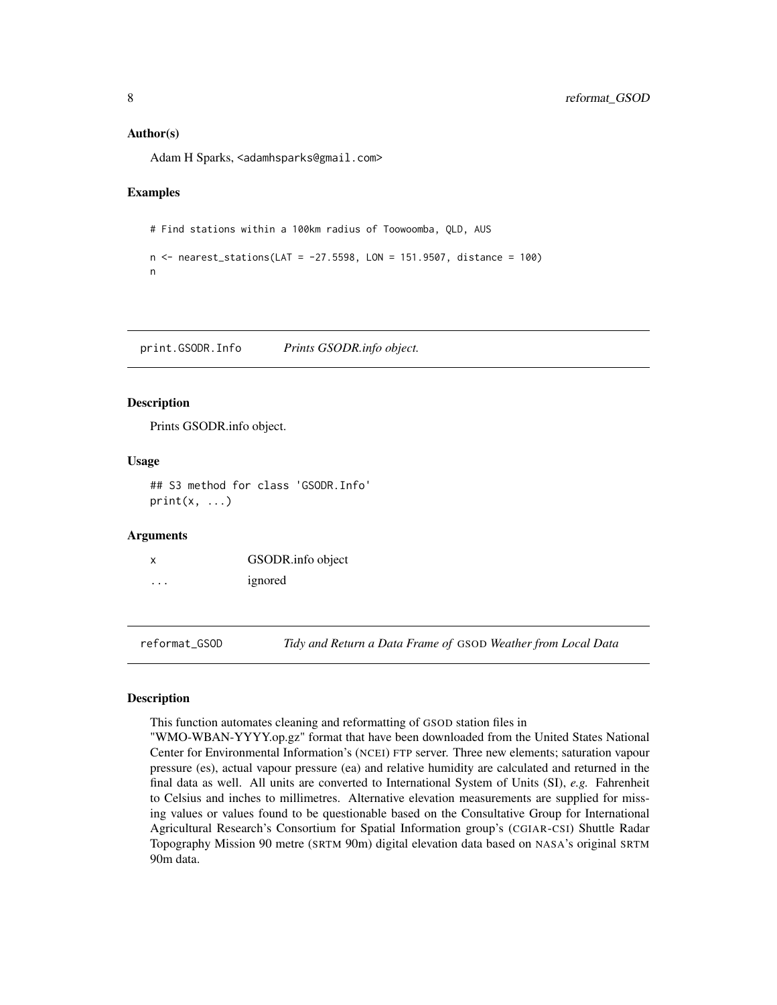#### <span id="page-7-0"></span>Author(s)

Adam H Sparks, <adamhsparks@gmail.com>

### Examples

```
# Find stations within a 100km radius of Toowoomba, QLD, AUS
```

```
n <- nearest_stations(LAT = -27.5598, LON = 151.9507, distance = 100)
n
```
print.GSODR.Info *Prints GSODR.info object.*

#### Description

Prints GSODR.info object.

#### Usage

```
## S3 method for class 'GSODR.Info'
print(x, \ldots)
```
# Arguments

|   | GSODR.info object |
|---|-------------------|
| . | ignored           |

<span id="page-7-1"></span>reformat\_GSOD *Tidy and Return a Data Frame of* GSOD *Weather from Local Data*

# Description

This function automates cleaning and reformatting of GSOD station files in

"WMO-WBAN-YYYY.op.gz" format that have been downloaded from the United States National Center for Environmental Information's (NCEI) FTP server. Three new elements; saturation vapour pressure (es), actual vapour pressure (ea) and relative humidity are calculated and returned in the final data as well. All units are converted to International System of Units (SI), *e.g.* Fahrenheit to Celsius and inches to millimetres. Alternative elevation measurements are supplied for missing values or values found to be questionable based on the Consultative Group for International Agricultural Research's Consortium for Spatial Information group's (CGIAR-CSI) Shuttle Radar Topography Mission 90 metre (SRTM 90m) digital elevation data based on NASA's original SRTM 90m data.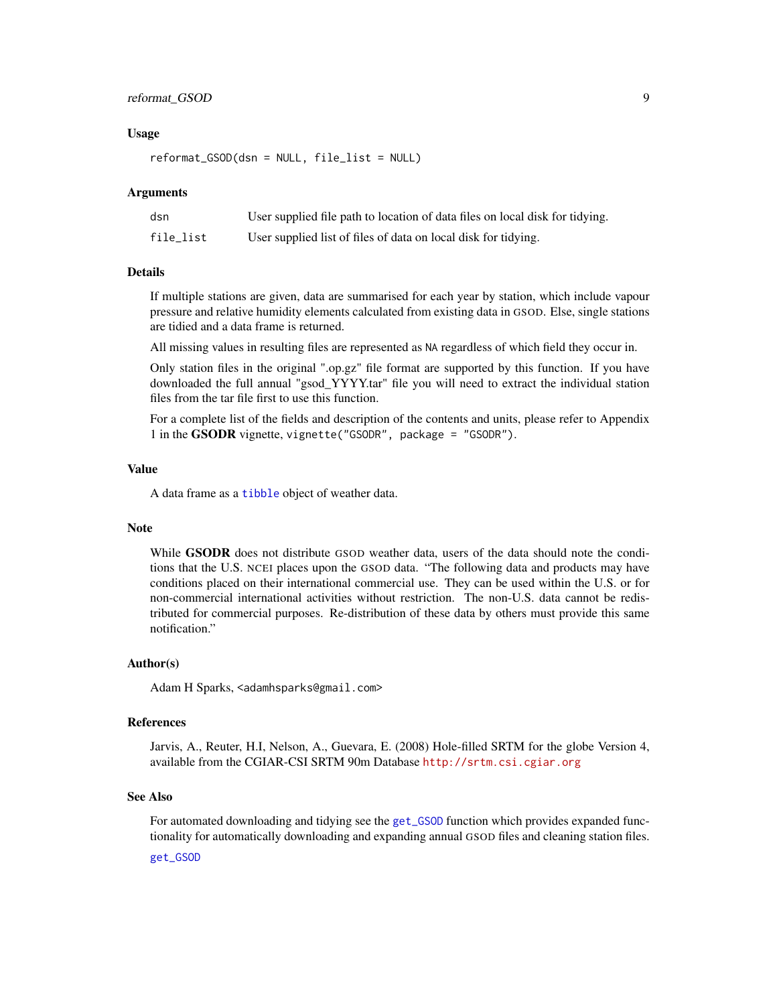# <span id="page-8-0"></span>reformat\_GSOD 9

#### Usage

reformat\_GSOD(dsn = NULL, file\_list = NULL)

#### Arguments

| dsn       | User supplied file path to location of data files on local disk for tidying. |
|-----------|------------------------------------------------------------------------------|
| file_list | User supplied list of files of data on local disk for tidying.               |

# Details

If multiple stations are given, data are summarised for each year by station, which include vapour pressure and relative humidity elements calculated from existing data in GSOD. Else, single stations are tidied and a data frame is returned.

All missing values in resulting files are represented as NA regardless of which field they occur in.

Only station files in the original ".op.gz" file format are supported by this function. If you have downloaded the full annual "gsod\_YYYY.tar" file you will need to extract the individual station files from the tar file first to use this function.

For a complete list of the fields and description of the contents and units, please refer to Appendix 1 in the GSODR vignette, vignette("GSODR", package = "GSODR").

# Value

A data frame as a [tibble](#page-0-0) object of weather data.

#### Note

While **GSODR** does not distribute GSOD weather data, users of the data should note the conditions that the U.S. NCEI places upon the GSOD data. "The following data and products may have conditions placed on their international commercial use. They can be used within the U.S. or for non-commercial international activities without restriction. The non-U.S. data cannot be redistributed for commercial purposes. Re-distribution of these data by others must provide this same notification."

#### Author(s)

Adam H Sparks, <adamhsparks@gmail.com>

#### References

Jarvis, A., Reuter, H.I, Nelson, A., Guevara, E. (2008) Hole-filled SRTM for the globe Version 4, available from the CGIAR-CSI SRTM 90m Database <http://srtm.csi.cgiar.org>

#### See Also

For automated downloading and tidying see the [get\\_GSOD](#page-2-1) function which provides expanded functionality for automatically downloading and expanding annual GSOD files and cleaning station files.

[get\\_GSOD](#page-2-1)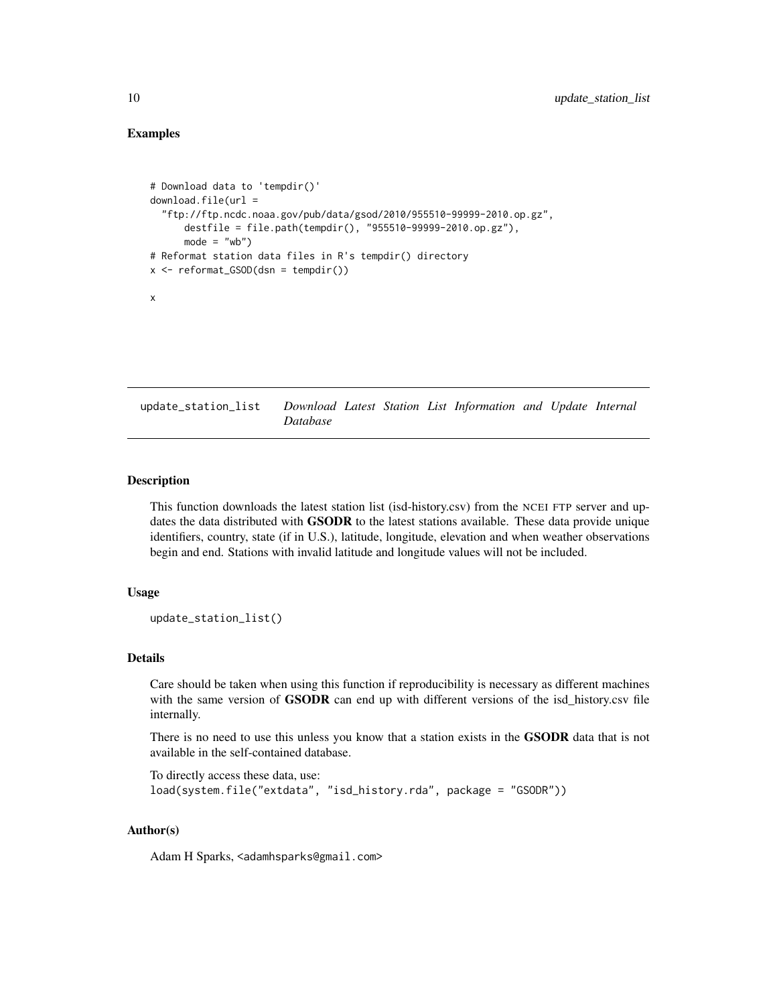# <span id="page-9-0"></span>Examples

```
# Download data to 'tempdir()'
download.file(url =
  "ftp://ftp.ncdc.noaa.gov/pub/data/gsod/2010/955510-99999-2010.op.gz",
      destfile = file.path(tempdir(), "955510-99999-2010.op.gz"),
      mode = "wb")# Reformat station data files in R's tempdir() directory
x \leftarrow \text{reformat_GSOD}(dsn = \text{tempdir}())x
```
<span id="page-9-1"></span>update\_station\_list *Download Latest Station List Information and Update Internal Database*

# Description

This function downloads the latest station list (isd-history.csv) from the NCEI FTP server and updates the data distributed with **GSODR** to the latest stations available. These data provide unique identifiers, country, state (if in U.S.), latitude, longitude, elevation and when weather observations begin and end. Stations with invalid latitude and longitude values will not be included.

# Usage

```
update_station_list()
```
# Details

Care should be taken when using this function if reproducibility is necessary as different machines with the same version of **GSODR** can end up with different versions of the isd\_history.csv file internally.

There is no need to use this unless you know that a station exists in the **GSODR** data that is not available in the self-contained database.

```
To directly access these data, use:
load(system.file("extdata", "isd_history.rda", package = "GSODR"))
```
# Author(s)

Adam H Sparks, <adamhsparks@gmail.com>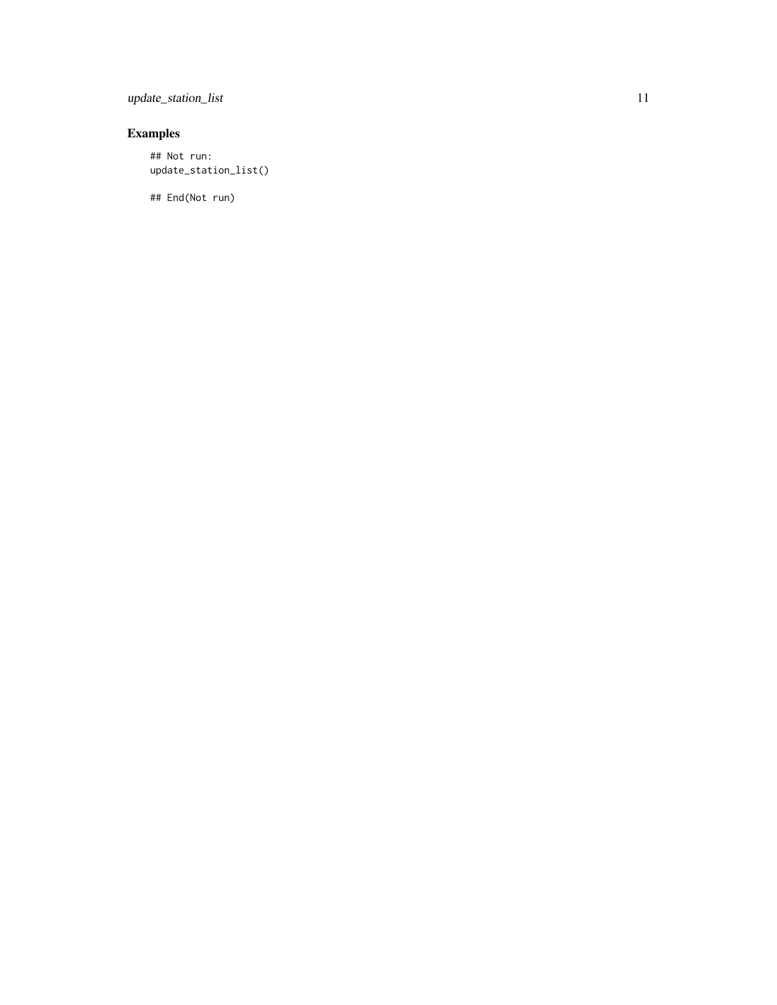update\_station\_list 11

# Examples

## Not run: update\_station\_list()

## End(Not run)